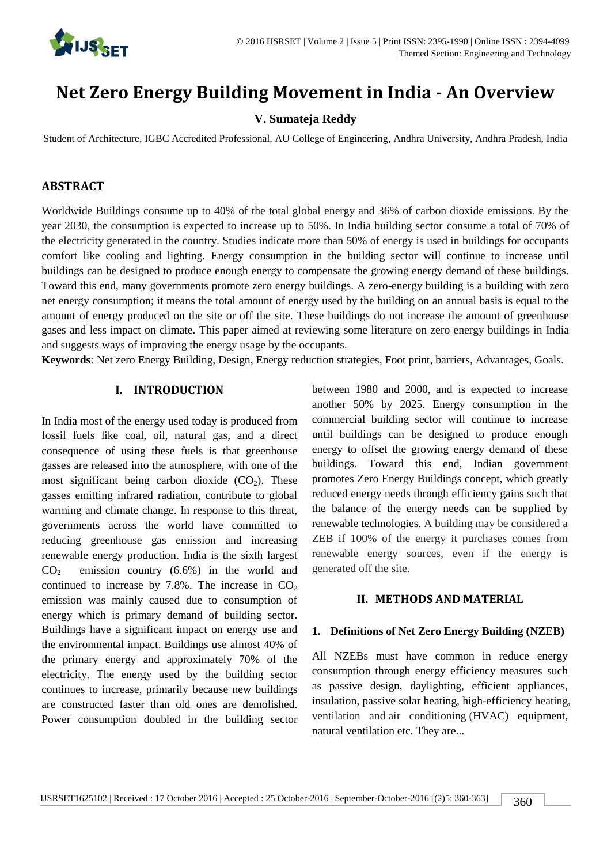

# **Net Zero Energy Building Movement in India - An Overview**

## **V. Sumateja Reddy**

Student of Architecture, IGBC Accredited Professional, AU College of Engineering, Andhra University, Andhra Pradesh, India

#### **ABSTRACT**

Worldwide Buildings consume up to 40% of the total global energy and 36% of carbon dioxide emissions. By the year 2030, the consumption is expected to increase up to 50%. In India building sector consume a total of 70% of the electricity generated in the country. Studies indicate more than 50% of energy is used in buildings for occupants comfort like cooling and lighting. Energy consumption in the building sector will continue to increase until buildings can be designed to produce enough energy to compensate the growing energy demand of these buildings. Toward this end, many governments promote zero energy buildings. A zero-energy building is a building with zero net energy consumption; it means the total amount of energy used by the building on an annual basis is equal to the amount of energy produced on the site or off the site. These buildings do not increase the amount of greenhouse gases and less impact on climate. This paper aimed at reviewing some literature on zero energy buildings in India and suggests ways of improving the energy usage by the occupants.

**Keywords**: Net zero Energy Building, Design, Energy reduction strategies, Foot print, barriers, Advantages, Goals.

#### **I. INTRODUCTION**

In India most of the energy used today is produced from fossil fuels like coal, oil, natural gas, and a direct consequence of using these fuels is that greenhouse gasses are released into the atmosphere, with one of the most significant being carbon dioxide  $(CO<sub>2</sub>)$ . These gasses emitting infrared radiation, contribute to global warming and climate change. In response to this threat, governments across the world have committed to reducing greenhouse gas emission and increasing renewable energy production. India is the sixth largest  $CO<sub>2</sub>$  emission country (6.6%) in the world and continued to increase by 7.8%. The increase in  $CO<sub>2</sub>$ emission was mainly caused due to consumption of energy which is primary demand of building sector. Buildings have a significant impact on energy use and the environmental impact. Buildings use almost 40% of the primary energy and approximately 70% of the electricity. The energy used by the building sector continues to increase, primarily because new buildings are constructed faster than old ones are demolished. Power consumption doubled in the building sector between 1980 and 2000, and is expected to increase another 50% by 2025. Energy consumption in the commercial building sector will continue to increase until buildings can be designed to produce enough energy to offset the growing energy demand of these buildings. Toward this end, Indian government promotes Zero Energy Buildings concept, which greatly reduced energy needs through efficiency gains such that the balance of the energy needs can be supplied by renewable technologies. A building may be considered a ZEB if 100% of the energy it purchases comes from renewable energy sources, even if the energy is generated off the site.

#### **II. METHODS AND MATERIAL**

#### **1. Definitions of Net Zero Energy Building (NZEB)**

All NZEBs must have common in reduce energy consumption through energy efficiency measures such as passive design, daylighting, efficient appliances, insulation, passive solar heating, high-efficiency heating, ventilation and air conditioning (HVAC) equipment, natural ventilation etc. They are...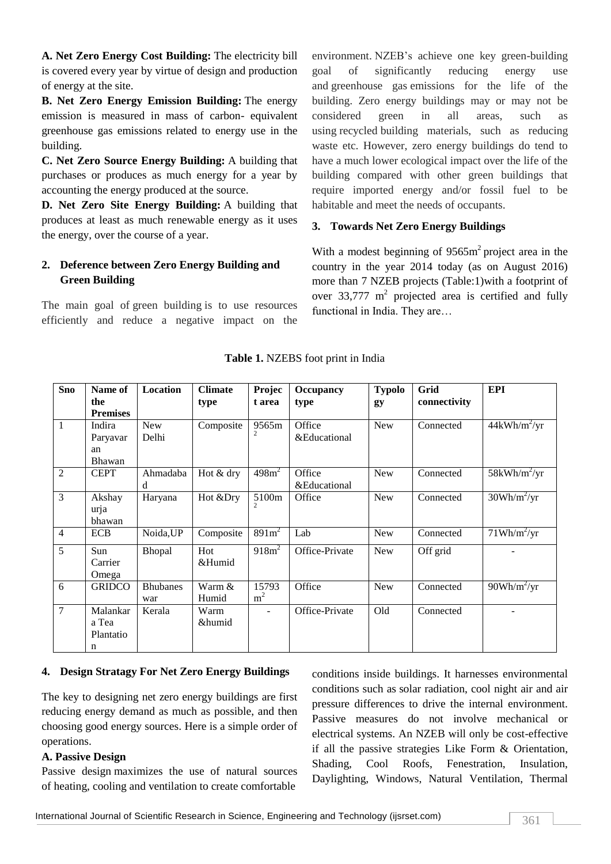**A. Net Zero Energy Cost Building:** The electricity bill is covered every year by virtue of design and production of energy at the site.

**B. Net Zero Energy Emission Building:** The energy emission is measured in mass of carbon- equivalent greenhouse gas emissions related to energy use in the building.

**C. Net Zero Source Energy Building:** A building that purchases or produces as much energy for a year by accounting the energy produced at the source.

**D. Net Zero Site Energy Building:** A building that produces at least as much renewable energy as it uses the energy, over the course of a year.

## **2. Deference between Zero Energy Building and Green Building**

The main goal of green building is to use resources efficiently and reduce a negative impact on the environment. NZEB's achieve one key green-building goal of significantly reducing energy use and greenhouse gas emissions for the life of the building. Zero energy buildings may or may not be considered green in all areas, such as using recycled building materials, such as reducing waste etc. However, zero energy buildings do tend to have a much lower ecological impact over the life of the building compared with other green buildings that require imported energy and/or fossil fuel to be habitable and meet the needs of occupants.

## **3. Towards Net Zero Energy Buildings**

With a modest beginning of  $9565m<sup>2</sup>$  project area in the country in the year 2014 today (as on August 2016) more than 7 NZEB projects (Table:1)with a footprint of over  $33,777$  m<sup>2</sup> projected area is certified and fully functional in India. They are…

| <b>Sno</b>     | Name of         | Location        | <b>Climate</b> | Projec            | <b>Occupancy</b> | <b>Typolo</b> | Grid         | <b>EPI</b>                      |
|----------------|-----------------|-----------------|----------------|-------------------|------------------|---------------|--------------|---------------------------------|
|                | the             |                 | type           | t area            | type             | gy            | connectivity |                                 |
|                | <b>Premises</b> |                 |                |                   |                  |               |              |                                 |
| $\mathbf{1}$   | Indira          | <b>New</b>      | Composite      | 9565m             | Office           | <b>New</b>    | Connected    | $44kWh/m^2/yr$                  |
|                | Paryavar        | Delhi           |                |                   | &Educational     |               |              |                                 |
|                | an              |                 |                |                   |                  |               |              |                                 |
|                | Bhawan          |                 |                |                   |                  |               |              |                                 |
| $\overline{2}$ | <b>CEPT</b>     | Ahmadaba        | Hot & dry      | 498m <sup>2</sup> | Office           | <b>New</b>    | Connected    | $58kWh/m^2/yr$                  |
|                |                 | d               |                |                   | &Educational     |               |              |                                 |
| $\overline{3}$ | Akshay          | Haryana         | Hot &Dry       | 5100m             | Office           | <b>New</b>    | Connected    | $30Wh/m^2/yr$                   |
|                | urja            |                 |                |                   |                  |               |              |                                 |
|                | bhawan          |                 |                |                   |                  |               |              |                                 |
| $\overline{4}$ | <b>ECB</b>      | Noida, UP       | Composite      | 891m <sup>2</sup> | Lab              | <b>New</b>    | Connected    | $71Wh/m^2/yr$                   |
| 5              | Sun             | Bhopal          | Hot            | 918m <sup>2</sup> | Office-Private   | <b>New</b>    | Off grid     |                                 |
|                | Carrier         |                 | &Humid         |                   |                  |               |              |                                 |
|                | Omega           |                 |                |                   |                  |               |              |                                 |
| 6              | <b>GRIDCO</b>   | <b>Bhubanes</b> | Warm &         | 15793             | Office           | <b>New</b>    | Connected    | $90Wh/m^2/\overline{\text{yr}}$ |
|                |                 | war             | Humid          | m <sup>2</sup>    |                  |               |              |                                 |
| $\overline{7}$ | Malankar        | Kerala          | Warm           |                   | Office-Private   | Old           | Connected    |                                 |
|                | a Tea           |                 | &humid         |                   |                  |               |              |                                 |
|                | Plantatio       |                 |                |                   |                  |               |              |                                 |
|                | n               |                 |                |                   |                  |               |              |                                 |

#### **Table 1.** NZEBS foot print in India

#### **4. Design Stratagy For Net Zero Energy Buildings**

The key to designing net zero energy buildings are first reducing energy demand as much as possible, and then choosing good energy sources. Here is a simple order of operations.

#### **A. Passive Design**

Passive design maximizes the use of natural sources of heating, cooling and ventilation to create comfortable

conditions inside buildings. It harnesses environmental conditions such as solar radiation, cool night air and air pressure differences to drive the internal environment. Passive measures do not involve mechanical or electrical systems. An NZEB will only be cost-effective if all the passive strategies Like Form & Orientation, Shading, Cool Roofs, Fenestration, Insulation, Daylighting, Windows, Natural Ventilation, Thermal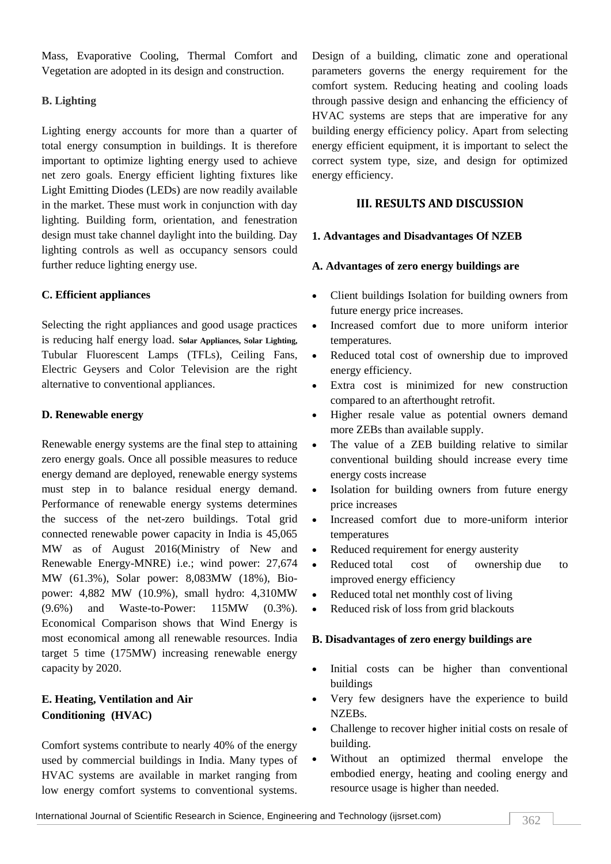Mass, Evaporative Cooling, Thermal Comfort and Vegetation are adopted in its design and construction.

## **B. Lighting**

Lighting energy accounts for more than a quarter of total energy consumption in buildings. It is therefore important to optimize lighting energy used to achieve net zero goals. Energy efficient lighting fixtures like Light Emitting Diodes (LEDs) are now readily available in the market. These must work in conjunction with day lighting. Building form, orientation, and fenestration design must take channel daylight into the building. Day lighting controls as well as occupancy sensors could further reduce lighting energy use.

## **C. Efficient appliances**

Selecting the right appliances and good usage practices is reducing half energy load. **Solar Appliances, Solar Lighting,** Tubular Fluorescent Lamps (TFLs), Ceiling Fans, Electric Geysers and Color Television are the right alternative to conventional appliances.

## **D. Renewable energy**

Renewable energy systems are the final step to attaining zero energy goals. Once all possible measures to reduce energy demand are deployed, renewable energy systems must step in to balance residual energy demand. Performance of renewable energy systems determines the success of the net-zero buildings. Total grid connected renewable power capacity in India is 45,065 MW as of August 2016(Ministry of New and Renewable Energy-MNRE) i.e.; wind power: 27,674 MW (61.3%), Solar power: 8,083MW (18%), Biopower: 4,882 MW (10.9%), small hydro: 4,310MW (9.6%) and Waste-to-Power: 115MW (0.3%). Economical Comparison shows that Wind Energy is most economical among all renewable resources. India target 5 time (175MW) increasing renewable energy capacity by 2020.

# **E. Heating, Ventilation and Air Conditioning (HVAC)**

Comfort systems contribute to nearly 40% of the energy used by commercial buildings in India. Many types of HVAC systems are available in market ranging from low energy comfort systems to conventional systems.

Design of a building, climatic zone and operational parameters governs the energy requirement for the comfort system. Reducing heating and cooling loads through passive design and enhancing the efficiency of HVAC systems are steps that are imperative for any building energy efficiency policy. Apart from selecting energy efficient equipment, it is important to select the correct system type, size, and design for optimized energy efficiency.

# **III. RESULTS AND DISCUSSION**

## **1. Advantages and Disadvantages Of NZEB**

## **A. Advantages of zero energy buildings are**

- Client buildings Isolation for building owners from future energy price increases.
- Increased comfort due to more uniform interior temperatures.
- Reduced total cost of ownership due to improved energy efficiency.
- Extra cost is minimized for new construction compared to an afterthought retrofit.
- Higher resale value as potential owners demand more ZEBs than available supply.
- The value of a ZEB building relative to similar conventional building should increase every time energy costs increase
- Isolation for building owners from future energy price increases
- Increased comfort due to more-uniform interior temperatures
- Reduced requirement for energy austerity
- Reduced total cost of ownership due to improved energy efficiency
- Reduced total net monthly cost of living
- Reduced risk of loss from grid blackouts

## **B. Disadvantages of zero energy buildings are**

- Initial costs can be higher than conventional buildings
- Very few designers have the experience to build NZEBs.
- Challenge to recover higher initial costs on resale of building.
- Without an optimized thermal envelope the embodied energy, heating and cooling energy and resource usage is higher than needed.